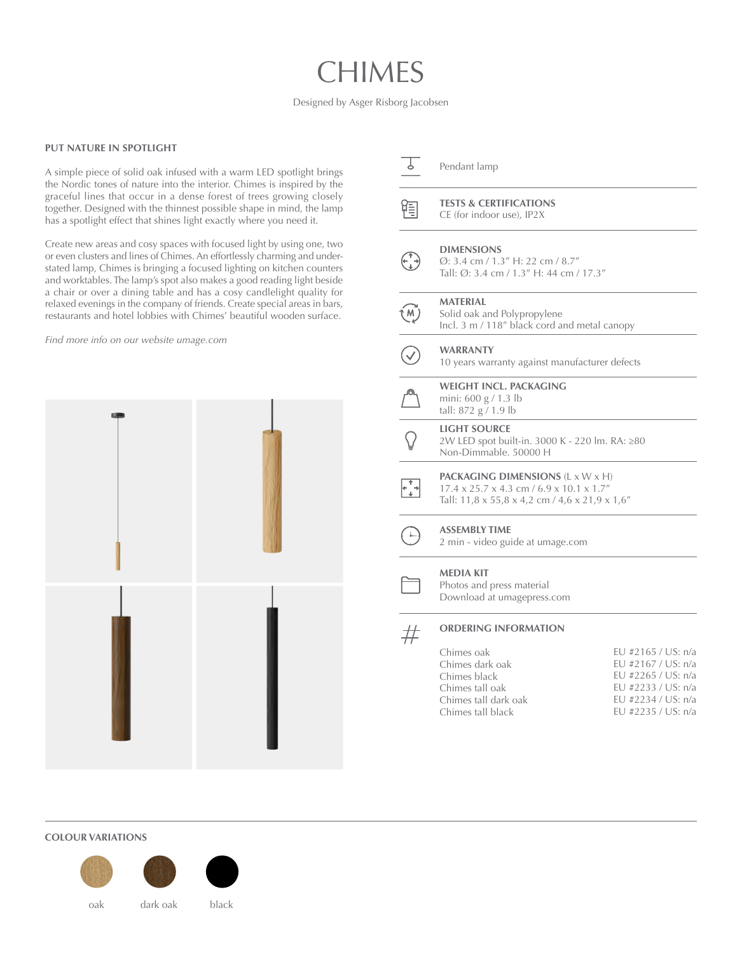# CHIMES

Designed by Asger Risborg Jacobsen

#### **PUT NATURE IN SPOTLIGHT**

A simple piece of solid oak infused with a warm LED spotlight brings the Nordic tones of nature into the interior. Chimes is inspired by the graceful lines that occur in a dense forest of trees growing closely together. Designed with the thinnest possible shape in mind, the lamp has a spotlight effect that shines light exactly where you need it.

Create new areas and cosy spaces with focused light by using one, two or even clusters and lines of Chimes. An effortlessly charming and understated lamp, Chimes is bringing a focused lighting on kitchen counters and worktables. The lamp's spot also makes a good reading light beside a chair or over a dining table and has a cosy candlelight quality for relaxed evenings in the company of friends. Create special areas in bars, restaurants and hotel lobbies with Chimes' beautiful wooden surface.

*Find more info on our website [umage.com](http://umage.com)*



#### Pendant lamp

**TESTS & CERTIFICATIONS**

CE (for indoor use), IP2X

| $\bigodot$ | <b>DIMENSIONS</b><br>$\varnothing$ : 3.4 cm / 1.3" H: 22 cm / 8.7" |
|------------|--------------------------------------------------------------------|
|            | Tall: Ø: 3.4 cm / 1.3" H: 44 cm / 17.3"                            |

渇

### **MATERIAL**

 $\binom{M}{k}$ Solid oak and Polypropylene Incl. 3 m / 118" black cord and metal canopy

#### **WARRANTY**

10 years warranty against manufacturer defects

|  | <b>WEIGHT INCL. PACKAGING</b> |
|--|-------------------------------|
|  | mini: $600 g / 1.3 lb$        |
|  | tall: $872 g / 1.9 lb$        |

#### **LIGHT SOURCE**

| 2W LED spot built-in. 3000 K - 220 lm. RA: ≥80 |  |  |
|------------------------------------------------|--|--|
| Non-Dimmable, 50000 H                          |  |  |

## $\frac{1}{2}$

**PACKAGING DIMENSIONS** (L x W x H) 17.4 x 25.7 x 4.3 cm / 6.9 x 10.1 x 1.7" Tall: 11,8 x 55,8 x 4,2 cm / 4,6 x 21,9 x 1,6"

**ASSEMBLY TIME** 2 min - video guide at [umage.com](https://www.umage.com/pages/assembly)

#### **MEDIA KIT**

Photos and press material Download at umage[p](http://umagepress.com)ress.com

#### **ORDERING INFORMATION**  $#$

| Chimes oak           | EU #2165 / US: n/a |
|----------------------|--------------------|
| Chimes dark oak      | EU #2167 / US: n/a |
| Chimes black         | EU #2265 / US: n/a |
| Chimes tall oak      | FU #2233 / US: n/a |
| Chimes tall dark oak | EU #2234 / US: n/a |
| Chimes tall black    | EU #2235 / US: n/a |
|                      |                    |